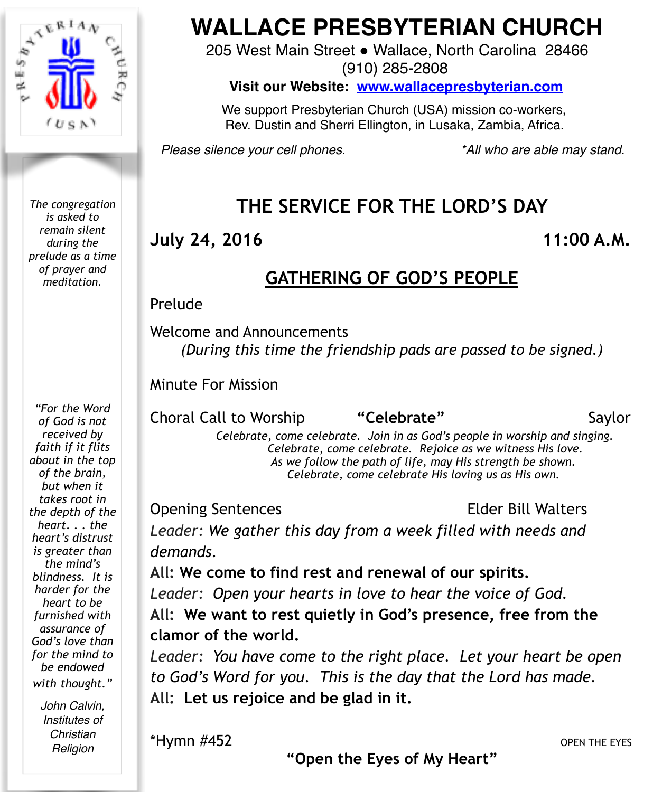

*The congregation is asked to remain silent during the prelude as a time of prayer and meditation.*

*"For the Word of God is not received by faith if it flits about in the top of the brain, but when it takes root in the depth of the heart. . . the heart's distrust is greater than the mind's blindness. It is harder for the heart to be furnished with assurance of God's love than for the mind to be endowed with thought."*

> *John Calvin, Institutes of Christian Religion*

# **WALLACE PRESBYTERIAN CHURCH**

205 West Main Street . Wallace, North Carolina 28466

(910) 285-2808

**Visit our Website: [www.wallacepresbyterian.com](http://www.wallacepresbyterian.com)**

 We support Presbyterian Church (USA) mission co-workers, Rev. Dustin and Sherri Ellington, in Lusaka, Zambia, Africa.

*Please silence your cell phones. \*All who are able may stand.*

# **THE SERVICE FOR THE LORD'S DAY**

#### **July 24, 2016 11:00 A.M.**

## **GATHERING OF GOD'S PEOPLE**

#### **Prelude**

Welcome and Announcements

*(During this time the friendship pads are passed to be signed.)* 

Minute For Mission **! !** 

Choral Call to Worship **"Celebrate"** Saylor

 *Celebrate, come celebrate. Join in as God's people in worship and singing. Celebrate, come celebrate. Rejoice as we witness His love. As we follow the path of life, may His strength be shown. Celebrate, come celebrate His loving us as His own.* 

Opening Sentences Elder Bill Walters

*Leader: We gather this day from a week filled with needs and demands.*

**All: We come to find rest and renewal of our spirits.** *Leader: Open your hearts in love to hear the voice of God.*

**All: We want to rest quietly in God's presence, free from the clamor of the world.**

*Leader: You have come to the right place. Let your heart be open to God's Word for you. This is the day that the Lord has made.* **All: Let us rejoice and be glad in it.**

\*Hymn #452 OPEN THE EYES

**"Open the Eyes of My Heart"**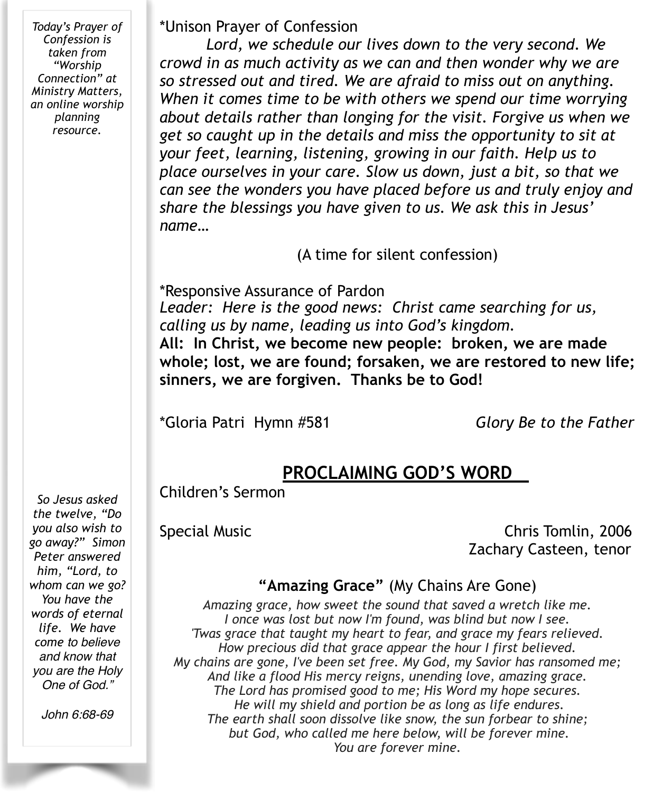*Today's Prayer of Confession is taken from "Worship Connection" at Ministry Matters, an online worship planning resource.* 

\*Unison Prayer of Confession

 *Lord, we schedule our lives down to the very second. We crowd in as much activity as we can and then wonder why we are so stressed out and tired. We are afraid to miss out on anything. When it comes time to be with others we spend our time worrying about details rather than longing for the visit. Forgive us when we get so caught up in the details and miss the opportunity to sit at your feet, learning, listening, growing in our faith. Help us to place ourselves in your care. Slow us down, just a bit, so that we can see the wonders you have placed before us and truly enjoy and share the blessings you have given to us. We ask this in Jesus' name…* 

(A time for silent confession)

\*Responsive Assurance of Pardon *Leader: Here is the good news: Christ came searching for us, calling us by name, leading us into God's kingdom.*  **All: In Christ, we become new people: broken, we are made whole; lost, we are found; forsaken, we are restored to new life; sinners, we are forgiven. Thanks be to God!** 

\*Gloria Patri Hymn #581 *Glory Be to the Father*

## **PROCLAIMING GOD'S WORD**

Children's Sermon

Special Music Chris Tomlin, 2006 Zachary Casteen, tenor

#### **"Amazing Grace"** (My Chains Are Gone)

*Amazing grace, how sweet the sound that saved a wretch like me. I once was lost but now I'm found, was blind but now I see. 'Twas grace that taught my heart to fear, and grace my fears relieved. How precious did that grace appear the hour I first believed. My chains are gone, I've been set free. My God, my Savior has ransomed me; And like a flood His mercy reigns, unending love, amazing grace. The Lord has promised good to me; His Word my hope secures. He will my shield and portion be as long as life endures. The earth shall soon dissolve like snow, the sun forbear to shine; but God, who called me here below, will be forever mine. You are forever mine.*

*So Jesus asked the twelve, "Do you also wish to go away?" Simon Peter answered him, "Lord, to whom can we go? You have the words of eternal life. We have come to believe and know that you are the Holy One of God."* 

*John 6:68-69*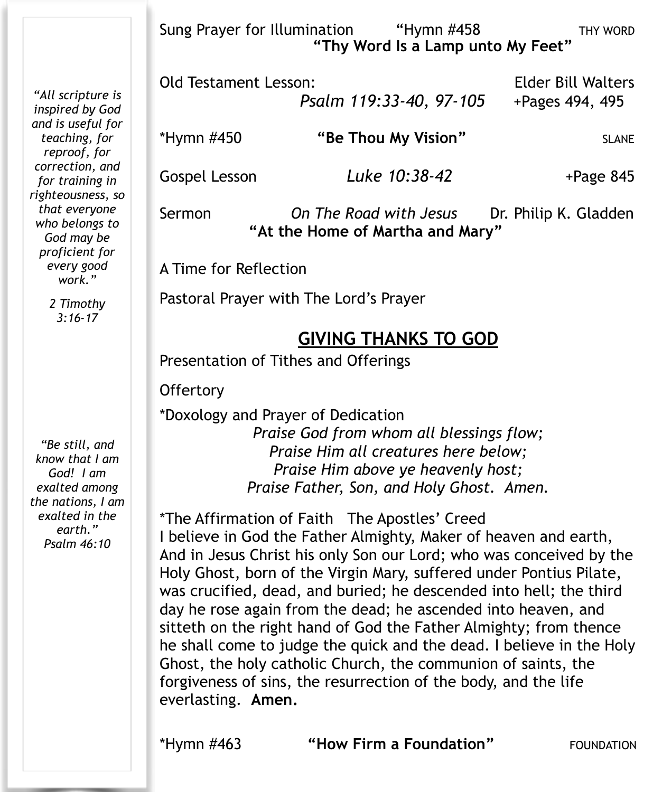Sung Prayer for Illumination "Hymn #458 THY WORD  **"Thy Word Is a Lamp unto My Feet"** 

*"All scripture is inspired by God and is useful for correction, and for training in righteousness, so that everyone who belongs to proficient for know that I am exalted among the nations, I am exalted in the*  Old Testament Lesson: Elder Bill Walters  *Psalm 119:33-40, 97-105* +Pages 494, 495 \*Hymn #450 **"Be Thou My Vision"** SLANE Gospel Lesson *Luke 10:38-42* +Page 845 Sermon *On The Road with Jesus* Dr. Philip K. Gladden **"At the Home of Martha and Mary"**  A Time for Reflection Pastoral Prayer with The Lord's Prayer **GIVING THANKS TO GOD** Presentation of Tithes and Offerings **Offertory** \*Doxology and Prayer of Dedication *Praise God from whom all blessings flow; Praise Him all creatures here below; Praise Him above ye heavenly host; Praise Father, Son, and Holy Ghost. Amen.* \*The Affirmation of Faith The Apostles' Creed I believe in God the Father Almighty, Maker of heaven and earth,

And in Jesus Christ his only Son our Lord; who was conceived by the Holy Ghost, born of the Virgin Mary, suffered under Pontius Pilate, was crucified, dead, and buried; he descended into hell; the third day he rose again from the dead; he ascended into heaven, and sitteth on the right hand of God the Father Almighty; from thence he shall come to judge the quick and the dead. I believe in the Holy Ghost, the holy catholic Church, the communion of saints, the forgiveness of sins, the resurrection of the body, and the life everlasting. **Amen.**

*teaching, for reproof, for* 

*God may be* 

*every good work." 2 Timothy 3:16-17* 

*"Be still, and* 

*God! I am* 

*earth." Psalm 46:10* 

\*Hymn #463 **"How Firm a Foundation"** FOUNDATION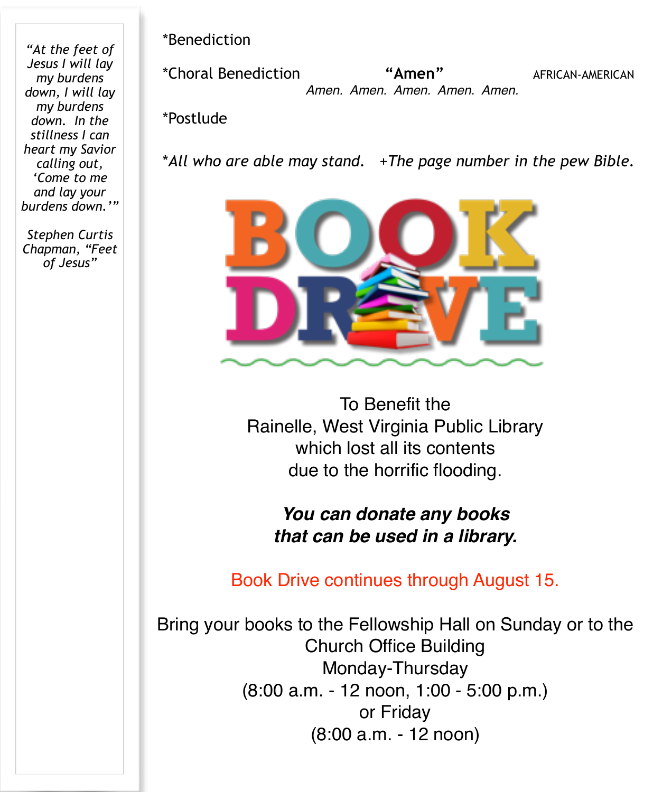*"At the feet of Jesus I will lay my burdens down, I will lay my burdens down. In the stillness I can heart my Savior calling out, 'Come to me and lay your burdens down.'"* 

*Stephen Curtis Chapman, "Feet of Jesus"* 

\*Benediction !!!!!

\*Choral Benediction **"Amen"** AFRICAN-AMERICAN  *Amen. Amen. Amen. Amen. Amen.*

\*Postlude

\**All who are able may stand.* +*The page number in the pew Bible.* 



To Benefit the Rainelle, West Virginia Public Library which lost all its contents due to the horrific flooding.

*You can donate any books that can be used in a library.*

Book Drive continues through August 15.

Bring your books to the Fellowship Hall on Sunday or to the Church Office Building Monday-Thursday (8:00 a.m. - 12 noon, 1:00 - 5:00 p.m.) or Friday (8:00 a.m. - 12 noon)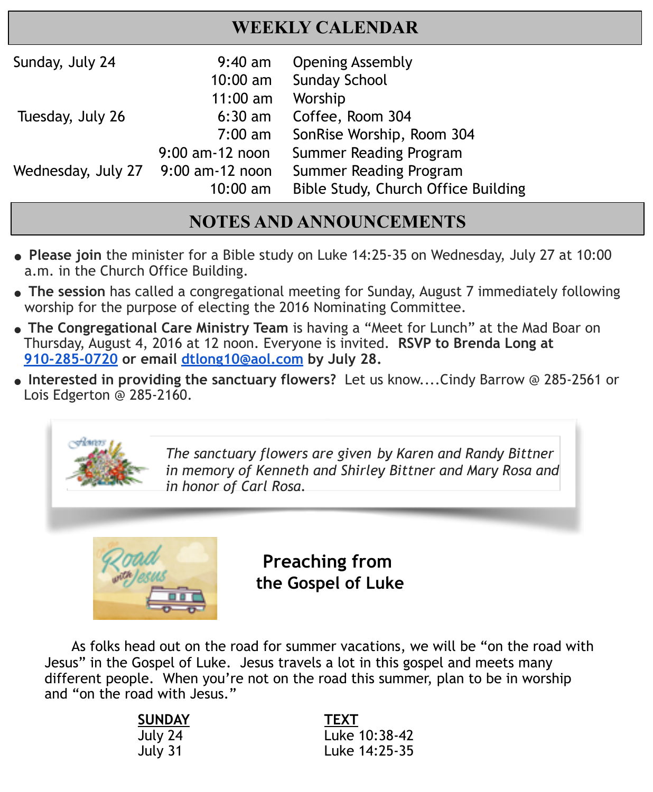## **WEEKLY CALENDAR**

| Sunday, July 24    | $9:40$ am<br>$10:00$ am | <b>Opening Assembly</b><br><b>Sunday School</b> |
|--------------------|-------------------------|-------------------------------------------------|
|                    | $11:00$ am              | Worship                                         |
| Tuesday, July 26   | $6:30$ am               | Coffee, Room 304                                |
|                    | $7:00 \text{ am}$       | SonRise Worship, Room 304                       |
| Wednesday, July 27 | $9:00$ am-12 noon       | Summer Reading Program                          |
|                    | 9:00 am-12 noon         | Summer Reading Program                          |
|                    | $10:00$ am              | Bible Study, Church Office Building             |

. It is a set of the set of the set of the set of the set of the set of the set of the set of the set of the s

## **NOTES AND ANNOUNCEMENTS**

- **● Please join** the minister for a Bible study on Luke 14:25-35 on Wednesday, July 27 at 10:00 a.m. in the Church Office Building.
- **● The session** has called a congregational meeting for Sunday, August 7 immediately following worship for the purpose of electing the 2016 Nominating Committee.
- **The Congregational Care Ministry Team** is having a "Meet for Lunch" at the Mad Boar on Thursday, August 4, 2016 at 12 noon. Everyone is invited. **RSVP to Brenda Long at 910-285-0720 or email [dtlong10@aol.com](mailto:dtlong10@aol.com) by July 28.**
- **" Interested in providing the sanctuary flowers?** Let us know....Cindy Barrow @ 285-2561 or Lois Edgerton @ 285-2160.



Ī

*The sanctuary flowers are given by Karen and Randy Bittner in memory of Kenneth and Shirley Bittner and Mary Rosa and in honor of Carl Rosa.*



 **Preaching from the Gospel of Luke**

 As folks head out on the road for summer vacations, we will be "on the road with Jesus" in the Gospel of Luke. Jesus travels a lot in this gospel and meets many different people. When you're not on the road this summer, plan to be in worship and "on the road with Jesus."

| <b>TEXT</b>   |
|---------------|
| Luke 10:38-42 |
| Luke 14:25-35 |
|               |